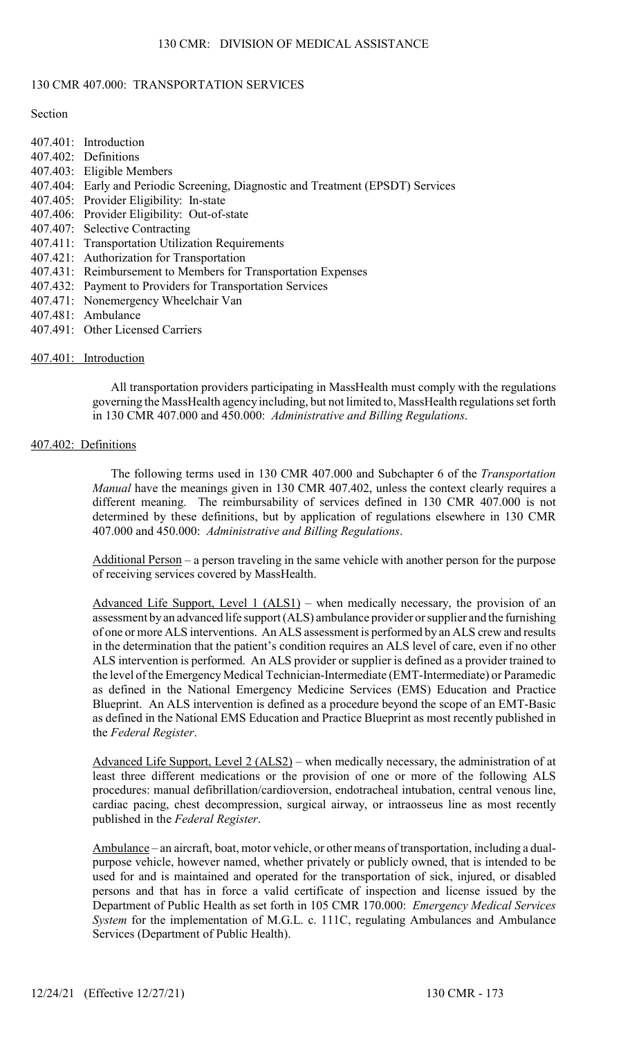## 130 CMR 407.000: TRANSPORTATION SERVICES

#### **Section**

| 407.401: Introduction                                                            |
|----------------------------------------------------------------------------------|
| 407.402: Definitions                                                             |
| 407.403: Eligible Members                                                        |
| 407.404: Early and Periodic Screening, Diagnostic and Treatment (EPSDT) Services |
| 407.405: Provider Eligibility: In-state                                          |
| 407.406: Provider Eligibility: Out-of-state                                      |
| 407.407: Selective Contracting                                                   |
| 407.411: Transportation Utilization Requirements                                 |
| 407.421: Authorization for Transportation                                        |
| 407.431: Reimbursement to Members for Transportation Expenses                    |
| 407.432: Payment to Providers for Transportation Services                        |
| 407.471: Nonemergency Wheelchair Van                                             |
|                                                                                  |

- 407.481: Ambulance
- 407.491: Other Licensed Carriers

## 407.401: Introduction

All transportation providers participating in MassHealth must comply with the regulations governing the MassHealth agency including, but not limited to, MassHealth regulations set forth in 130 CMR 407.000 and 450.000: Administrative and Billing Regulations.

### 407.402: Definitions

The following terms used in 130 CMR 407.000 and Subchapter 6 of the Transportation Manual have the meanings given in 130 CMR 407.402, unless the context clearly requires a different meaning. The reimbursability of services defined in 130 CMR 407.000 is not determined by these definitions, but by application of regulations elsewhere in 130 CMR 407.000 and 450.000: Administrative and Billing Regulations.

Additional Person – a person traveling in the same vehicle with another person for the purpose of receiving services covered by MassHealth.

Advanced Life Support, Level 1 (ALS1) – when medically necessary, the provision of an assessment by an advanced life support (ALS) ambulance provider or supplier and the furnishing of one or more ALS interventions. An ALS assessment is performed by an ALS crew and results in the determination that the patient's condition requires an ALS level of care, even if no other ALS intervention is performed. An ALS provider or supplier is defined as a provider trained to the level of the Emergency Medical Technician-Intermediate (EMT-Intermediate) or Paramedic as defined in the National Emergency Medicine Services (EMS) Education and Practice Blueprint. An ALS intervention is defined as a procedure beyond the scope of an EMT-Basic as defined in the National EMS Education and Practice Blueprint as most recently published in the Federal Register.

Advanced Life Support, Level 2 (ALS2) – when medically necessary, the administration of at least three different medications or the provision of one or more of the following ALS procedures: manual defibrillation/cardioversion, endotracheal intubation, central venous line, cardiac pacing, chest decompression, surgical airway, or intraosseus line as most recently published in the Federal Register.

Ambulance – an aircraft, boat, motor vehicle, or other means of transportation, including a dualpurpose vehicle, however named, whether privately or publicly owned, that is intended to be used for and is maintained and operated for the transportation of sick, injured, or disabled persons and that has in force a valid certificate of inspection and license issued by the Department of Public Health as set forth in 105 CMR 170.000: Emergency Medical Services System for the implementation of M.G.L. c. 111C, regulating Ambulances and Ambulance Services (Department of Public Health).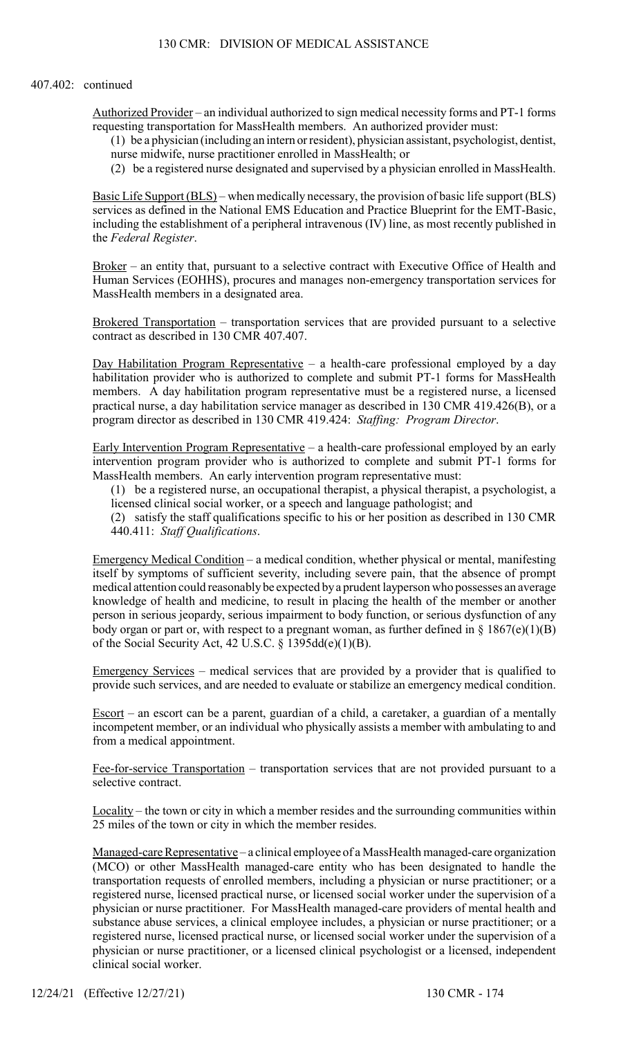#### 407.402: continued

Authorized Provider – an individual authorized to sign medical necessity forms and PT-1 forms requesting transportation for MassHealth members. An authorized provider must:

(1) be a physician (including an intern or resident), physician assistant, psychologist, dentist, nurse midwife, nurse practitioner enrolled in MassHealth; or

(2) be a registered nurse designated and supervised by a physician enrolled in MassHealth.

Basic Life Support (BLS) – when medically necessary, the provision of basic life support (BLS) services as defined in the National EMS Education and Practice Blueprint for the EMT-Basic, including the establishment of a peripheral intravenous (IV) line, as most recently published in the Federal Register.

Broker – an entity that, pursuant to a selective contract with Executive Office of Health and Human Services (EOHHS), procures and manages non-emergency transportation services for MassHealth members in a designated area.

Brokered Transportation – transportation services that are provided pursuant to a selective contract as described in 130 CMR 407.407.

Day Habilitation Program Representative – a health-care professional employed by a day habilitation provider who is authorized to complete and submit PT-1 forms for MassHealth members. A day habilitation program representative must be a registered nurse, a licensed practical nurse, a day habilitation service manager as described in 130 CMR 419.426(B), or a program director as described in 130 CMR 419.424: Staffing: Program Director.

Early Intervention Program Representative – a health-care professional employed by an early intervention program provider who is authorized to complete and submit PT-1 forms for MassHealth members. An early intervention program representative must:

(1) be a registered nurse, an occupational therapist, a physical therapist, a psychologist, a licensed clinical social worker, or a speech and language pathologist; and

(2) satisfy the staff qualifications specific to his or her position as described in 130 CMR 440.411: Staff Qualifications.

Emergency Medical Condition – a medical condition, whether physical or mental, manifesting itself by symptoms of sufficient severity, including severe pain, that the absence of prompt medical attention could reasonably be expected by a prudent layperson who possesses an average knowledge of health and medicine, to result in placing the health of the member or another person in serious jeopardy, serious impairment to body function, or serious dysfunction of any body organ or part or, with respect to a pregnant woman, as further defined in  $\S 1867(e)(1)(B)$ of the Social Security Act, 42 U.S.C. § 1395dd(e)(1)(B).

Emergency Services – medical services that are provided by a provider that is qualified to provide such services, and are needed to evaluate or stabilize an emergency medical condition.

Escort – an escort can be a parent, guardian of a child, a caretaker, a guardian of a mentally incompetent member, or an individual who physically assists a member with ambulating to and from a medical appointment.

Fee-for-service Transportation – transportation services that are not provided pursuant to a selective contract.

Locality – the town or city in which a member resides and the surrounding communities within 25 miles of the town or city in which the member resides.

Managed-care Representative - a clinical employee of a MassHealth managed-care organization (MCO) or other MassHealth managed-care entity who has been designated to handle the transportation requests of enrolled members, including a physician or nurse practitioner; or a registered nurse, licensed practical nurse, or licensed social worker under the supervision of a physician or nurse practitioner. For MassHealth managed-care providers of mental health and substance abuse services, a clinical employee includes, a physician or nurse practitioner; or a registered nurse, licensed practical nurse, or licensed social worker under the supervision of a physician or nurse practitioner, or a licensed clinical psychologist or a licensed, independent clinical social worker.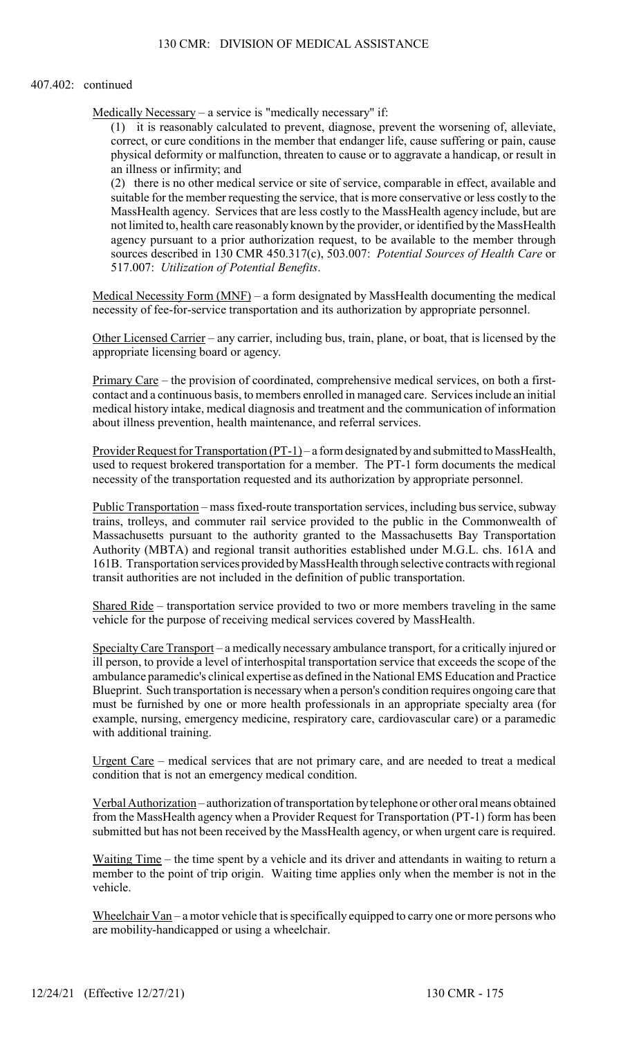### 407.402: continued

Medically Necessary – a service is "medically necessary" if:

(1) it is reasonably calculated to prevent, diagnose, prevent the worsening of, alleviate, correct, or cure conditions in the member that endanger life, cause suffering or pain, cause physical deformity or malfunction, threaten to cause or to aggravate a handicap, or result in an illness or infirmity; and

(2) there is no other medical service or site of service, comparable in effect, available and suitable for the member requesting the service, that is more conservative or less costly to the MassHealth agency. Services that are less costly to the MassHealth agency include, but are not limited to, health care reasonably known by the provider, or identified by the MassHealth agency pursuant to a prior authorization request, to be available to the member through sources described in 130 CMR 450.317(c), 503.007: Potential Sources of Health Care or 517.007: Utilization of Potential Benefits.

Medical Necessity Form (MNF) – a form designated by MassHealth documenting the medical necessity of fee-for-service transportation and its authorization by appropriate personnel.

Other Licensed Carrier – any carrier, including bus, train, plane, or boat, that is licensed by the appropriate licensing board or agency.

Primary Care – the provision of coordinated, comprehensive medical services, on both a firstcontact and a continuous basis, to members enrolled in managed care. Services include an initial medical history intake, medical diagnosis and treatment and the communication of information about illness prevention, health maintenance, and referral services.

Provider Request for Transportation (PT-1) – a form designated by and submitted to MassHealth, used to request brokered transportation for a member. The PT-1 form documents the medical necessity of the transportation requested and its authorization by appropriate personnel.

Public Transportation – mass fixed-route transportation services, including bus service, subway trains, trolleys, and commuter rail service provided to the public in the Commonwealth of Massachusetts pursuant to the authority granted to the Massachusetts Bay Transportation Authority (MBTA) and regional transit authorities established under M.G.L. chs. 161A and 161B. Transportation services provided by MassHealth through selective contracts with regional transit authorities are not included in the definition of public transportation.

Shared Ride – transportation service provided to two or more members traveling in the same vehicle for the purpose of receiving medical services covered by MassHealth.

Specialty Care Transport – a medically necessary ambulance transport, for a critically injured or ill person, to provide a level of interhospital transportation service that exceeds the scope of the ambulance paramedic's clinical expertise as defined in the National EMS Education and Practice Blueprint. Such transportation is necessary when a person's condition requires ongoing care that must be furnished by one or more health professionals in an appropriate specialty area (for example, nursing, emergency medicine, respiratory care, cardiovascular care) or a paramedic with additional training.

Urgent Care – medical services that are not primary care, and are needed to treat a medical condition that is not an emergency medical condition.

Verbal Authorization – authorization of transportation by telephone or other oral means obtained from the MassHealth agency when a Provider Request for Transportation (PT-1) form has been submitted but has not been received by the MassHealth agency, or when urgent care is required.

Waiting Time – the time spent by a vehicle and its driver and attendants in waiting to return a member to the point of trip origin. Waiting time applies only when the member is not in the vehicle.

Wheelchair Van – a motor vehicle that is specifically equipped to carry one or more persons who are mobility-handicapped or using a wheelchair.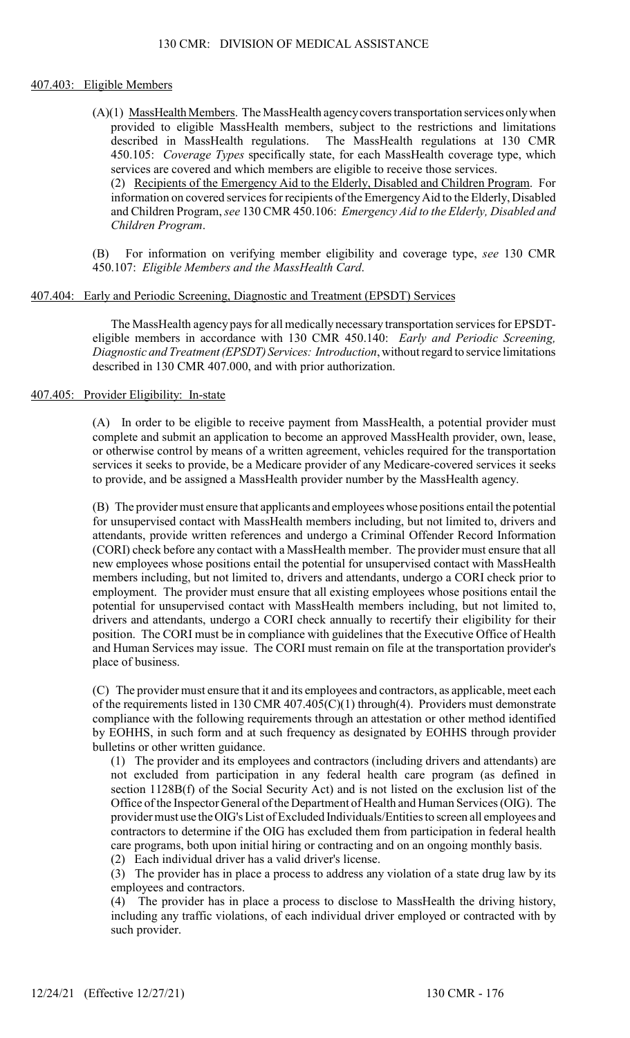### 407.403: Eligible Members

(A)(1) MassHealth Members. The MassHealth agency covers transportation services only when provided to eligible MassHealth members, subject to the restrictions and limitations described in MassHealth regulations. The MassHealth regulations at 130 CMR 450.105: Coverage Types specifically state, for each MassHealth coverage type, which services are covered and which members are eligible to receive those services.

(2) Recipients of the Emergency Aid to the Elderly, Disabled and Children Program. For information on covered services for recipients of the Emergency Aid to the Elderly, Disabled and Children Program, see 130 CMR 450.106: Emergency Aid to the Elderly, Disabled and Children Program.

(B) For information on verifying member eligibility and coverage type, see 130 CMR 450.107: Eligible Members and the MassHealth Card.

### 407.404: Early and Periodic Screening, Diagnostic and Treatment (EPSDT) Services

The MassHealth agency pays for all medically necessary transportation services for EPSDTeligible members in accordance with 130 CMR 450.140: *Early and Periodic Screening*, Diagnostic and Treatment (EPSDT) Services: Introduction, without regard to service limitations described in 130 CMR 407.000, and with prior authorization.

## 407.405: Provider Eligibility: In-state

(A) In order to be eligible to receive payment from MassHealth, a potential provider must complete and submit an application to become an approved MassHealth provider, own, lease, or otherwise control by means of a written agreement, vehicles required for the transportation services it seeks to provide, be a Medicare provider of any Medicare-covered services it seeks to provide, and be assigned a MassHealth provider number by the MassHealth agency.

(B) The provider must ensure that applicants and employees whose positions entail the potential for unsupervised contact with MassHealth members including, but not limited to, drivers and attendants, provide written references and undergo a Criminal Offender Record Information (CORI) check before any contact with a MassHealth member. The provider must ensure that all new employees whose positions entail the potential for unsupervised contact with MassHealth members including, but not limited to, drivers and attendants, undergo a CORI check prior to employment. The provider must ensure that all existing employees whose positions entail the potential for unsupervised contact with MassHealth members including, but not limited to, drivers and attendants, undergo a CORI check annually to recertify their eligibility for their position. The CORI must be in compliance with guidelines that the Executive Office of Health and Human Services may issue. The CORI must remain on file at the transportation provider's place of business.

(C) The provider must ensure that it and its employees and contractors, as applicable, meet each of the requirements listed in 130 CMR 407.405(C)(1) through(4). Providers must demonstrate compliance with the following requirements through an attestation or other method identified by EOHHS, in such form and at such frequency as designated by EOHHS through provider bulletins or other written guidance.

(1) The provider and its employees and contractors (including drivers and attendants) are not excluded from participation in any federal health care program (as defined in section 1128B(f) of the Social Security Act) and is not listed on the exclusion list of the Office of the Inspector General of the Department of Health and Human Services (OIG). The provider must use the OIG's List of Excluded Individuals/Entities to screen all employees and contractors to determine if the OIG has excluded them from participation in federal health care programs, both upon initial hiring or contracting and on an ongoing monthly basis.

(2) Each individual driver has a valid driver's license.

(3) The provider has in place a process to address any violation of a state drug law by its employees and contractors.

(4) The provider has in place a process to disclose to MassHealth the driving history, including any traffic violations, of each individual driver employed or contracted with by such provider.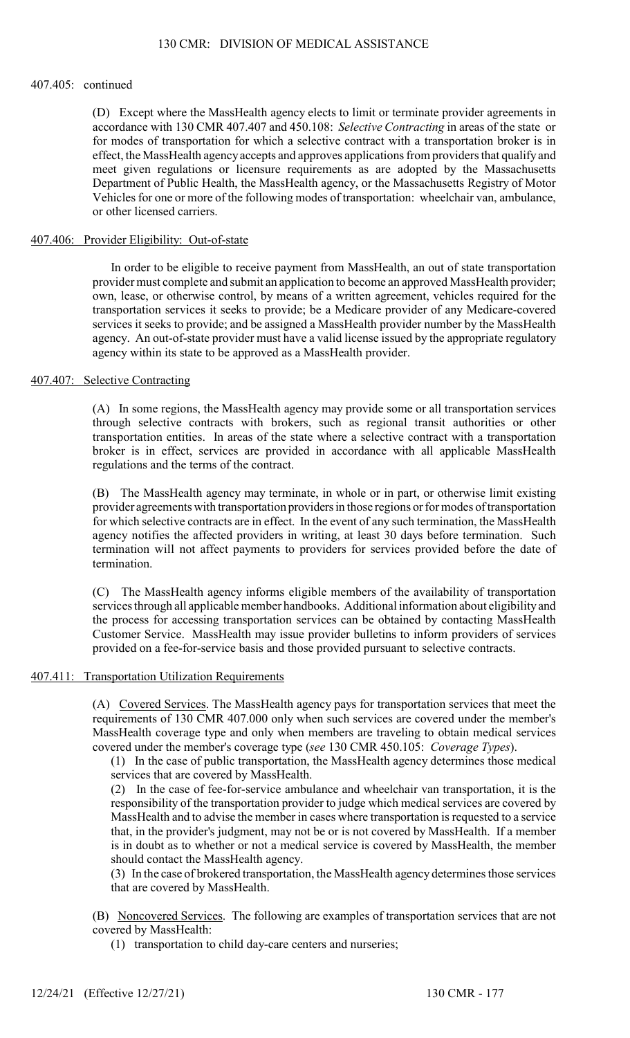### 407.405: continued

(D) Except where the MassHealth agency elects to limit or terminate provider agreements in accordance with 130 CMR 407.407 and 450.108: Selective Contracting in areas of the state or for modes of transportation for which a selective contract with a transportation broker is in effect, the MassHealth agency accepts and approves applications from providers that qualify and meet given regulations or licensure requirements as are adopted by the Massachusetts Department of Public Health, the MassHealth agency, or the Massachusetts Registry of Motor Vehicles for one or more of the following modes of transportation: wheelchair van, ambulance, or other licensed carriers.

### 407.406: Provider Eligibility: Out-of-state

In order to be eligible to receive payment from MassHealth, an out of state transportation provider must complete and submit an application to become an approved MassHealth provider; own, lease, or otherwise control, by means of a written agreement, vehicles required for the transportation services it seeks to provide; be a Medicare provider of any Medicare-covered services it seeks to provide; and be assigned a MassHealth provider number by the MassHealth agency. An out-of-state provider must have a valid license issued by the appropriate regulatory agency within its state to be approved as a MassHealth provider.

## 407.407: Selective Contracting

(A) In some regions, the MassHealth agency may provide some or all transportation services through selective contracts with brokers, such as regional transit authorities or other transportation entities. In areas of the state where a selective contract with a transportation broker is in effect, services are provided in accordance with all applicable MassHealth regulations and the terms of the contract.

(B) The MassHealth agency may terminate, in whole or in part, or otherwise limit existing provider agreements with transportation providers in those regions or for modes of transportation for which selective contracts are in effect. In the event of any such termination, the MassHealth agency notifies the affected providers in writing, at least 30 days before termination. Such termination will not affect payments to providers for services provided before the date of termination.

(C) The MassHealth agency informs eligible members of the availability of transportation services through all applicable member handbooks. Additional information about eligibility and the process for accessing transportation services can be obtained by contacting MassHealth Customer Service. MassHealth may issue provider bulletins to inform providers of services provided on a fee-for-service basis and those provided pursuant to selective contracts.

# 407.411: Transportation Utilization Requirements

(A) Covered Services. The MassHealth agency pays for transportation services that meet the requirements of 130 CMR 407.000 only when such services are covered under the member's MassHealth coverage type and only when members are traveling to obtain medical services covered under the member's coverage type (see 130 CMR 450.105: Coverage Types).

(1) In the case of public transportation, the MassHealth agency determines those medical services that are covered by MassHealth.

(2) In the case of fee-for-service ambulance and wheelchair van transportation, it is the responsibility of the transportation provider to judge which medical services are covered by MassHealth and to advise the member in cases where transportation is requested to a service that, in the provider's judgment, may not be or is not covered by MassHealth. If a member is in doubt as to whether or not a medical service is covered by MassHealth, the member should contact the MassHealth agency.

(3) In the case of brokered transportation, the MassHealth agency determines those services that are covered by MassHealth.

(B) Noncovered Services. The following are examples of transportation services that are not covered by MassHealth:

(1) transportation to child day-care centers and nurseries;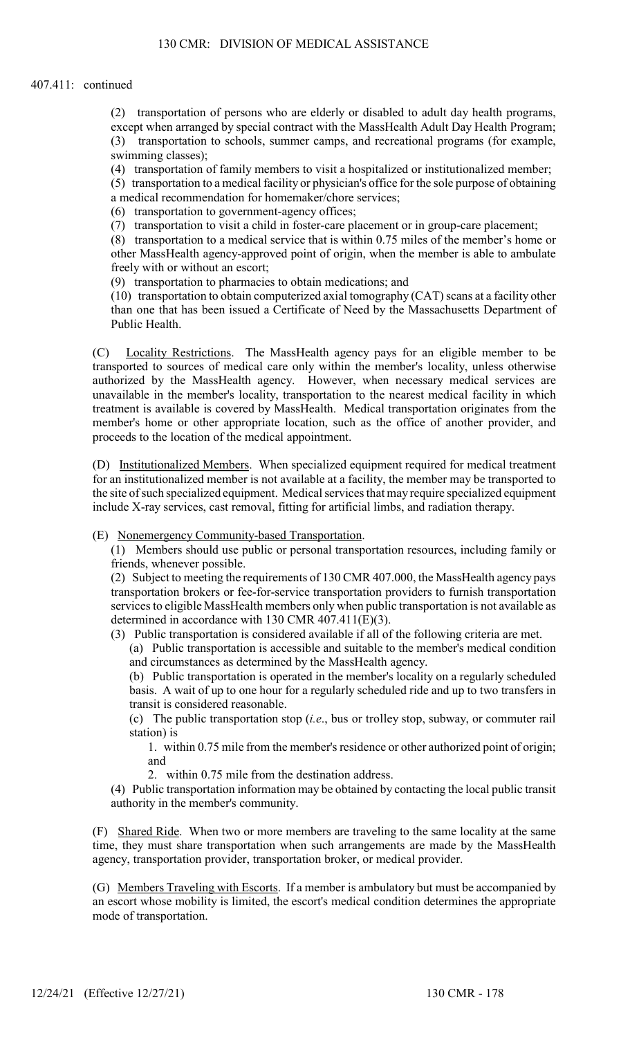### 407.411: continued

(2) transportation of persons who are elderly or disabled to adult day health programs, except when arranged by special contract with the MassHealth Adult Day Health Program; (3) transportation to schools, summer camps, and recreational programs (for example, swimming classes);

(4) transportation of family members to visit a hospitalized or institutionalized member;

(5) transportation to a medical facility or physician's office for the sole purpose of obtaining a medical recommendation for homemaker/chore services;

(6) transportation to government-agency offices;

(7) transportation to visit a child in foster-care placement or in group-care placement;

(8) transportation to a medical service that is within 0.75 miles of the member's home or other MassHealth agency-approved point of origin, when the member is able to ambulate freely with or without an escort;

(9) transportation to pharmacies to obtain medications; and

(10) transportation to obtain computerized axial tomography (CAT) scans at a facility other than one that has been issued a Certificate of Need by the Massachusetts Department of Public Health.

(C) Locality Restrictions. The MassHealth agency pays for an eligible member to be transported to sources of medical care only within the member's locality, unless otherwise authorized by the MassHealth agency. However, when necessary medical services are unavailable in the member's locality, transportation to the nearest medical facility in which treatment is available is covered by MassHealth. Medical transportation originates from the member's home or other appropriate location, such as the office of another provider, and proceeds to the location of the medical appointment.

(D) Institutionalized Members. When specialized equipment required for medical treatment for an institutionalized member is not available at a facility, the member may be transported to the site of such specialized equipment. Medical services that may require specialized equipment include X-ray services, cast removal, fitting for artificial limbs, and radiation therapy.

(E) Nonemergency Community-based Transportation.

(1) Members should use public or personal transportation resources, including family or friends, whenever possible.

(2) Subject to meeting the requirements of 130 CMR 407.000, the MassHealth agency pays transportation brokers or fee-for-service transportation providers to furnish transportation services to eligible MassHealth members only when public transportation is not available as determined in accordance with 130 CMR 407.411(E)(3).

(3) Public transportation is considered available if all of the following criteria are met.

(a) Public transportation is accessible and suitable to the member's medical condition and circumstances as determined by the MassHealth agency.

(b) Public transportation is operated in the member's locality on a regularly scheduled basis. A wait of up to one hour for a regularly scheduled ride and up to two transfers in transit is considered reasonable.

(c) The public transportation stop (i.e., bus or trolley stop, subway, or commuter rail station) is

1. within 0.75 mile from the member's residence or other authorized point of origin; and

2. within 0.75 mile from the destination address.

(4) Public transportation information may be obtained by contacting the local public transit authority in the member's community.

(F) Shared Ride. When two or more members are traveling to the same locality at the same time, they must share transportation when such arrangements are made by the MassHealth agency, transportation provider, transportation broker, or medical provider.

(G) Members Traveling with Escorts. If a member is ambulatory but must be accompanied by an escort whose mobility is limited, the escort's medical condition determines the appropriate mode of transportation.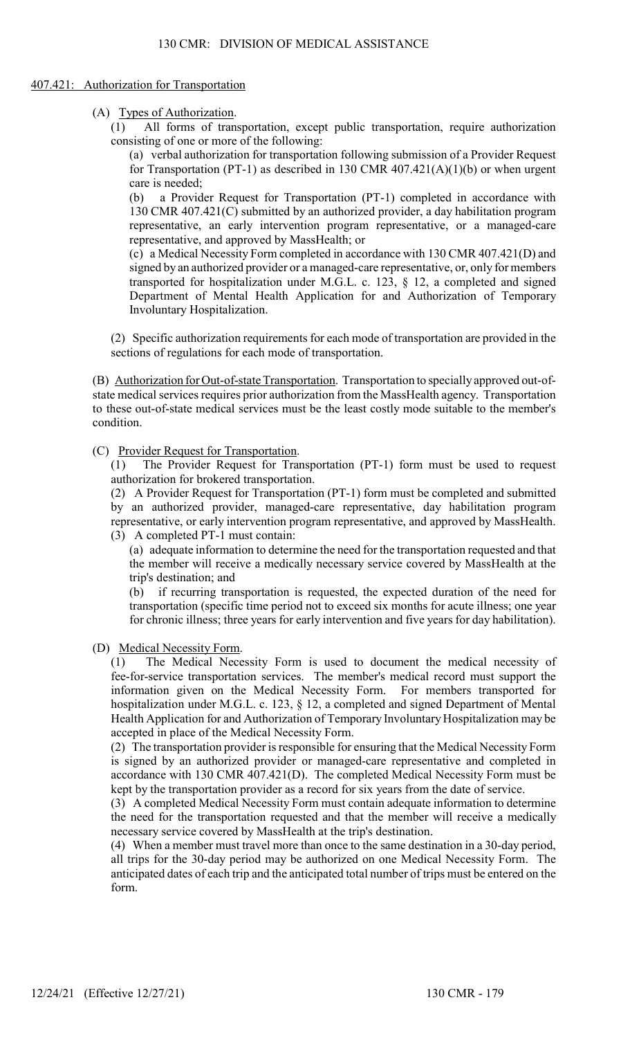#### 407.421: Authorization for Transportation

(A) Types of Authorization.

(1) All forms of transportation, except public transportation, require authorization consisting of one or more of the following:

(a) verbal authorization for transportation following submission of a Provider Request for Transportation (PT-1) as described in 130 CMR  $407.421(A)(1)(b)$  or when urgent care is needed;

(b) a Provider Request for Transportation (PT-1) completed in accordance with 130 CMR 407.421(C) submitted by an authorized provider, a day habilitation program representative, an early intervention program representative, or a managed-care representative, and approved by MassHealth; or

(c) a Medical Necessity Form completed in accordance with 130 CMR 407.421(D) and signed by an authorized provider or a managed-care representative, or, only for members transported for hospitalization under M.G.L. c. 123, § 12, a completed and signed Department of Mental Health Application for and Authorization of Temporary Involuntary Hospitalization.

(2) Specific authorization requirements for each mode of transportation are provided in the sections of regulations for each mode of transportation.

(B) Authorization for Out-of-state Transportation. Transportation to specially approved out-ofstate medical services requires prior authorization from the MassHealth agency. Transportation to these out-of-state medical services must be the least costly mode suitable to the member's condition.

(C) Provider Request for Transportation.<br>(1) The Provider Request for Tran

The Provider Request for Transportation (PT-1) form must be used to request authorization for brokered transportation.

(2) A Provider Request for Transportation (PT-1) form must be completed and submitted by an authorized provider, managed-care representative, day habilitation program representative, or early intervention program representative, and approved by MassHealth. (3) A completed PT-1 must contain:

(a) adequate information to determine the need for the transportation requested and that the member will receive a medically necessary service covered by MassHealth at the trip's destination; and

(b) if recurring transportation is requested, the expected duration of the need for transportation (specific time period not to exceed six months for acute illness; one year for chronic illness; three years for early intervention and five years for day habilitation).

(D) Medical Necessity Form.

(1) The Medical Necessity Form is used to document the medical necessity of fee-for-service transportation services. The member's medical record must support the information given on the Medical Necessity Form. For members transported for hospitalization under M.G.L. c. 123, § 12, a completed and signed Department of Mental Health Application for and Authorization of Temporary Involuntary Hospitalization may be accepted in place of the Medical Necessity Form.

(2) The transportation provider is responsible for ensuring that the Medical Necessity Form is signed by an authorized provider or managed-care representative and completed in accordance with 130 CMR 407.421(D). The completed Medical Necessity Form must be kept by the transportation provider as a record for six years from the date of service.

(3) A completed Medical Necessity Form must contain adequate information to determine the need for the transportation requested and that the member will receive a medically necessary service covered by MassHealth at the trip's destination.

(4) When a member must travel more than once to the same destination in a 30-day period, all trips for the 30-day period may be authorized on one Medical Necessity Form. The anticipated dates of each trip and the anticipated total number of trips must be entered on the form.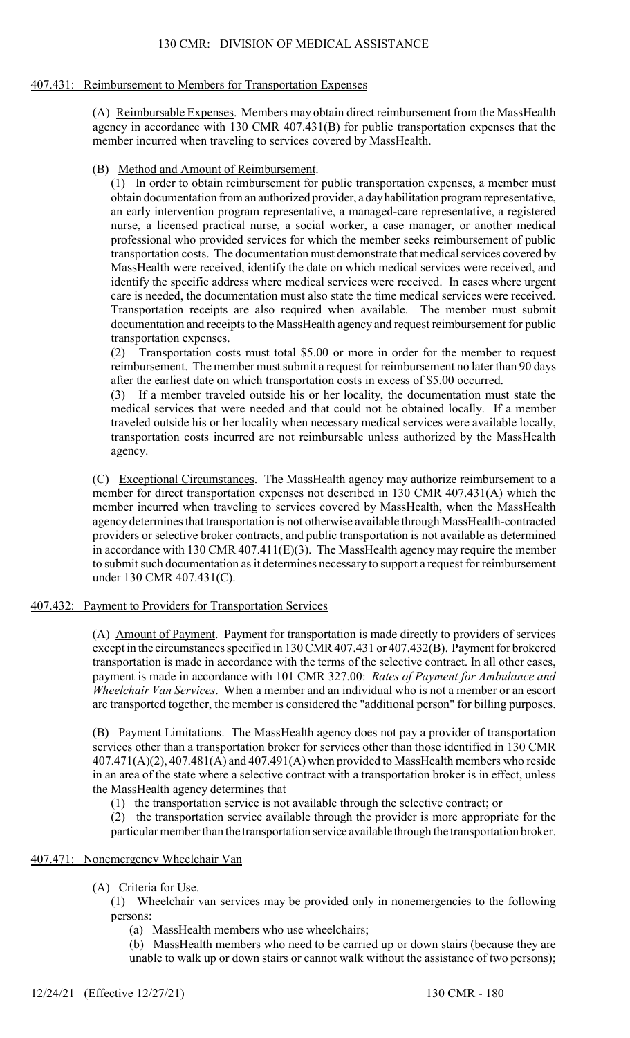## 407.431: Reimbursement to Members for Transportation Expenses

(A) Reimbursable Expenses. Members may obtain direct reimbursement from the MassHealth agency in accordance with 130 CMR 407.431(B) for public transportation expenses that the member incurred when traveling to services covered by MassHealth.

(B) Method and Amount of Reimbursement.

(1) In order to obtain reimbursement for public transportation expenses, a member must obtain documentation from an authorized provider, a day habilitation program representative, an early intervention program representative, a managed-care representative, a registered nurse, a licensed practical nurse, a social worker, a case manager, or another medical professional who provided services for which the member seeks reimbursement of public transportation costs. The documentation must demonstrate that medical services covered by MassHealth were received, identify the date on which medical services were received, and identify the specific address where medical services were received. In cases where urgent care is needed, the documentation must also state the time medical services were received. Transportation receipts are also required when available. The member must submit documentation and receipts to the MassHealth agency and request reimbursement for public transportation expenses.

(2) Transportation costs must total \$5.00 or more in order for the member to request reimbursement. The member must submit a request for reimbursement no later than 90 days after the earliest date on which transportation costs in excess of \$5.00 occurred.

(3) If a member traveled outside his or her locality, the documentation must state the medical services that were needed and that could not be obtained locally. If a member traveled outside his or her locality when necessary medical services were available locally, transportation costs incurred are not reimbursable unless authorized by the MassHealth agency.

(C) Exceptional Circumstances. The MassHealth agency may authorize reimbursement to a member for direct transportation expenses not described in 130 CMR 407.431(A) which the member incurred when traveling to services covered by MassHealth, when the MassHealth agency determines that transportation is not otherwise available through MassHealth-contracted providers or selective broker contracts, and public transportation is not available as determined in accordance with 130 CMR 407.411 $(E)(3)$ . The MassHealth agency may require the member to submit such documentation as it determines necessary to support a request for reimbursement under 130 CMR 407.431(C).

# 407.432: Payment to Providers for Transportation Services

(A) Amount of Payment. Payment for transportation is made directly to providers of services except in the circumstances specified in 130 CMR 407.431 or 407.432(B). Payment for brokered transportation is made in accordance with the terms of the selective contract. In all other cases, payment is made in accordance with 101 CMR 327.00: Rates of Payment for Ambulance and Wheelchair Van Services. When a member and an individual who is not a member or an escort are transported together, the member is considered the "additional person" for billing purposes.

(B) Payment Limitations. The MassHealth agency does not pay a provider of transportation services other than a transportation broker for services other than those identified in 130 CMR  $407.471(A)(2)$ ,  $407.481(A)$  and  $407.491(A)$  when provided to MassHealth members who reside in an area of the state where a selective contract with a transportation broker is in effect, unless the MassHealth agency determines that

(1) the transportation service is not available through the selective contract; or

(2) the transportation service available through the provider is more appropriate for the particular member than the transportation service available through the transportation broker.

# 407.471: Nonemergency Wheelchair Van

(A) Criteria for Use.

(1) Wheelchair van services may be provided only in nonemergencies to the following persons:

(a) MassHealth members who use wheelchairs;

(b) MassHealth members who need to be carried up or down stairs (because they are unable to walk up or down stairs or cannot walk without the assistance of two persons);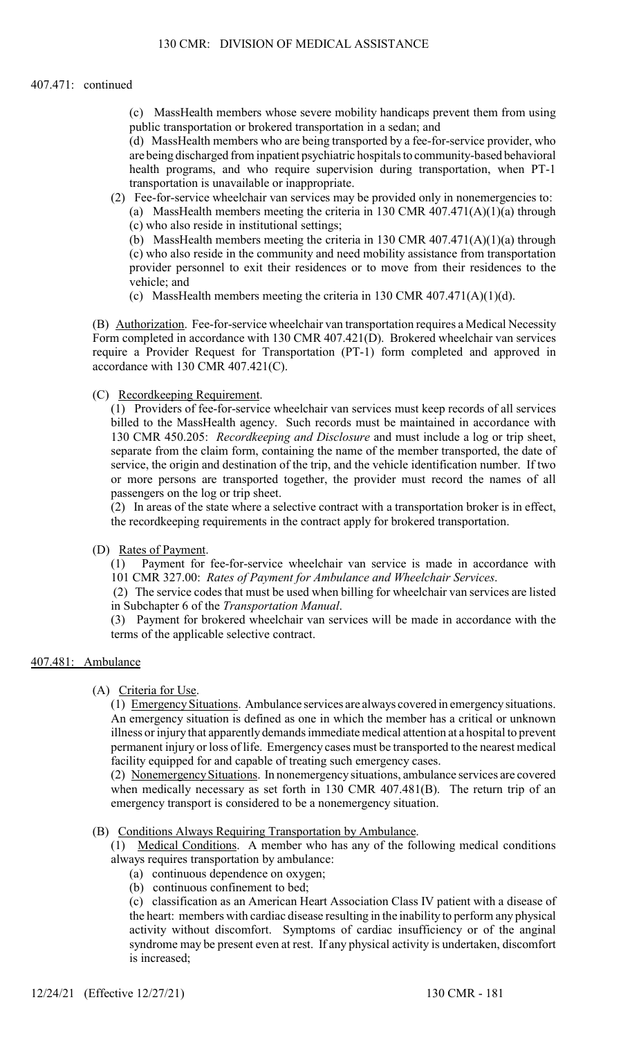## 407.471: continued

(c) MassHealth members whose severe mobility handicaps prevent them from using public transportation or brokered transportation in a sedan; and

(d) MassHealth members who are being transported by a fee-for-service provider, who are being discharged from inpatient psychiatric hospitals to community-based behavioral health programs, and who require supervision during transportation, when PT-1 transportation is unavailable or inappropriate.

(2) Fee-for-service wheelchair van services may be provided only in nonemergencies to: (a) MassHealth members meeting the criteria in 130 CMR 407.471(A)(1)(a) through (c) who also reside in institutional settings;

(b) MassHealth members meeting the criteria in 130 CMR 407.471(A)(1)(a) through (c) who also reside in the community and need mobility assistance from transportation provider personnel to exit their residences or to move from their residences to the vehicle; and

(c) MassHealth members meeting the criteria in 130 CMR  $407.471(A)(1)(d)$ .

(B) Authorization. Fee-for-service wheelchair van transportation requires a Medical Necessity Form completed in accordance with 130 CMR 407.421(D). Brokered wheelchair van services require a Provider Request for Transportation (PT-1) form completed and approved in accordance with 130 CMR 407.421(C).

## (C) Recordkeeping Requirement.

(1) Providers of fee-for-service wheelchair van services must keep records of all services billed to the MassHealth agency. Such records must be maintained in accordance with 130 CMR 450.205: Recordkeeping and Disclosure and must include a log or trip sheet, separate from the claim form, containing the name of the member transported, the date of service, the origin and destination of the trip, and the vehicle identification number. If two or more persons are transported together, the provider must record the names of all passengers on the log or trip sheet.

(2) In areas of the state where a selective contract with a transportation broker is in effect, the recordkeeping requirements in the contract apply for brokered transportation.

### (D) Rates of Payment.

(1) Payment for fee-for-service wheelchair van service is made in accordance with 101 CMR 327.00: Rates of Payment for Ambulance and Wheelchair Services.

(2) The service codes that must be used when billing for wheelchair van services are listed in Subchapter 6 of the Transportation Manual.

(3) Payment for brokered wheelchair van services will be made in accordance with the terms of the applicable selective contract.

### 407.481: Ambulance

(A) Criteria for Use.

(1) Emergency Situations. Ambulance services are always covered in emergency situations. An emergency situation is defined as one in which the member has a critical or unknown illness or injury that apparently demands immediate medical attention at a hospital to prevent permanent injury or loss of life. Emergency cases must be transported to the nearest medical facility equipped for and capable of treating such emergency cases.

(2) Nonemergency Situations. In nonemergency situations, ambulance services are covered when medically necessary as set forth in 130 CMR 407.481(B). The return trip of an emergency transport is considered to be a nonemergency situation.

### (B) Conditions Always Requiring Transportation by Ambulance.

(1) Medical Conditions. A member who has any of the following medical conditions always requires transportation by ambulance:

- (a) continuous dependence on oxygen;
- (b) continuous confinement to bed;

(c) classification as an American Heart Association Class IV patient with a disease of the heart: members with cardiac disease resulting in the inability to perform any physical activity without discomfort. Symptoms of cardiac insufficiency or of the anginal syndrome may be present even at rest. If any physical activity is undertaken, discomfort is increased;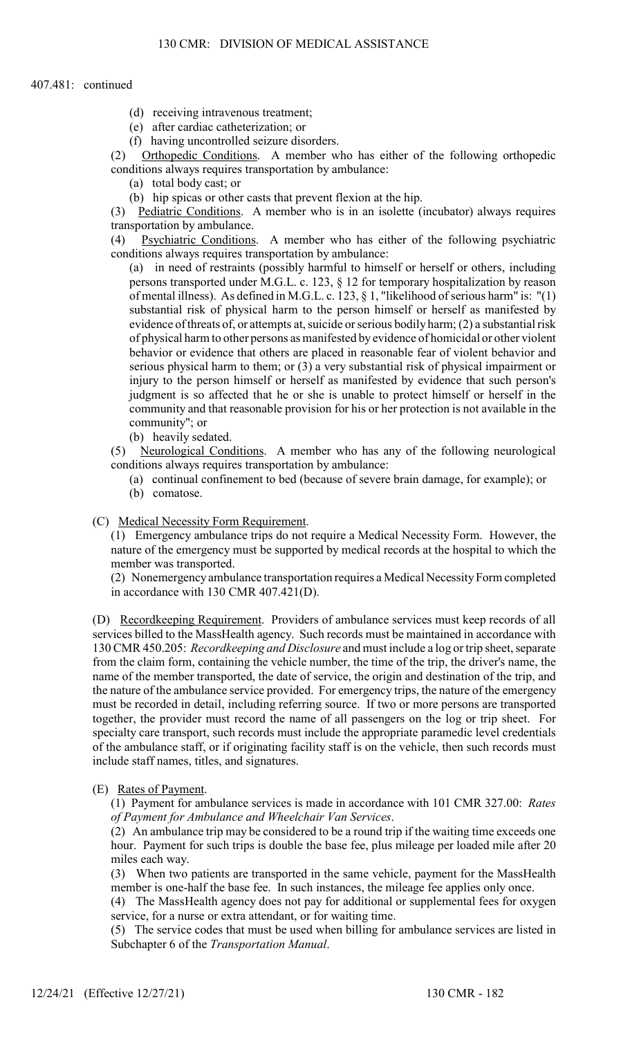### 407.481: continued

- (d) receiving intravenous treatment;
- (e) after cardiac catheterization; or
- (f) having uncontrolled seizure disorders.

(2) Orthopedic Conditions. A member who has either of the following orthopedic conditions always requires transportation by ambulance:

- (a) total body cast; or
- (b) hip spicas or other casts that prevent flexion at the hip.

(3) Pediatric Conditions. A member who is in an isolette (incubator) always requires transportation by ambulance.

(4) Psychiatric Conditions. A member who has either of the following psychiatric conditions always requires transportation by ambulance:

(a) in need of restraints (possibly harmful to himself or herself or others, including persons transported under M.G.L. c. 123, § 12 for temporary hospitalization by reason of mental illness). As defined in M.G.L. c. 123, § 1, "likelihood of serious harm" is: "(1) substantial risk of physical harm to the person himself or herself as manifested by evidence of threats of, or attempts at, suicide or serious bodily harm; (2) a substantial risk of physical harm to other persons as manifested by evidence of homicidal or other violent behavior or evidence that others are placed in reasonable fear of violent behavior and serious physical harm to them; or (3) a very substantial risk of physical impairment or injury to the person himself or herself as manifested by evidence that such person's judgment is so affected that he or she is unable to protect himself or herself in the community and that reasonable provision for his or her protection is not available in the community"; or

(b) heavily sedated.

(5) Neurological Conditions. A member who has any of the following neurological conditions always requires transportation by ambulance:

- (a) continual confinement to bed (because of severe brain damage, for example); or
- (b) comatose.

### (C) Medical Necessity Form Requirement.

(1) Emergency ambulance trips do not require a Medical Necessity Form. However, the nature of the emergency must be supported by medical records at the hospital to which the member was transported.

(2) Nonemergency ambulance transportation requires a Medical Necessity Form completed in accordance with 130 CMR 407.421(D).

(D) Recordkeeping Requirement. Providers of ambulance services must keep records of all services billed to the MassHealth agency. Such records must be maintained in accordance with 130 CMR 450.205: Recordkeeping and Disclosure and must include a log or trip sheet, separate from the claim form, containing the vehicle number, the time of the trip, the driver's name, the name of the member transported, the date of service, the origin and destination of the trip, and the nature of the ambulance service provided. For emergency trips, the nature of the emergency must be recorded in detail, including referring source. If two or more persons are transported together, the provider must record the name of all passengers on the log or trip sheet. For specialty care transport, such records must include the appropriate paramedic level credentials of the ambulance staff, or if originating facility staff is on the vehicle, then such records must include staff names, titles, and signatures.

## (E) Rates of Payment.

(1) Payment for ambulance services is made in accordance with 101 CMR 327.00: Rates of Payment for Ambulance and Wheelchair Van Services.

(2) An ambulance trip may be considered to be a round trip if the waiting time exceeds one hour. Payment for such trips is double the base fee, plus mileage per loaded mile after 20 miles each way.

(3) When two patients are transported in the same vehicle, payment for the MassHealth member is one-half the base fee. In such instances, the mileage fee applies only once.

(4) The MassHealth agency does not pay for additional or supplemental fees for oxygen service, for a nurse or extra attendant, or for waiting time.

(5) The service codes that must be used when billing for ambulance services are listed in Subchapter 6 of the Transportation Manual.